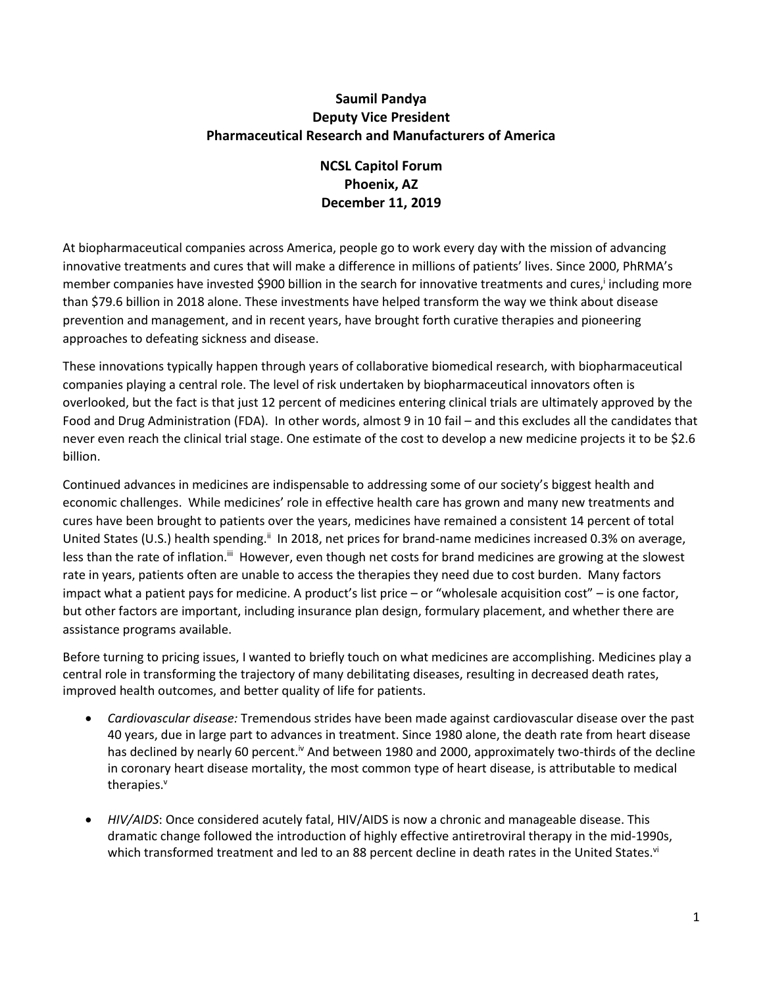## **Saumil Pandya Deputy Vice President Pharmaceutical Research and Manufacturers of America**

# **NCSL Capitol Forum Phoenix, AZ December 11, 2019**

At biopharmaceutical companies across America, people go to work every day with the mission of advancing innovative treatments and cures that will make a difference in millions of patients' lives. Since 2000, PhRMA's member companies have invested \$900 billion in the search for innovative treatments and cures,<sup>i</sup> including more than \$79.6 billion in 2018 alone. These investments have helped transform the way we think about disease prevention and management, and in recent years, have brought forth curative therapies and pioneering approaches to defeating sickness and disease.

These innovations typically happen through years of collaborative biomedical research, with biopharmaceutical companies playing a central role. The level of risk undertaken by biopharmaceutical innovators often is overlooked, but the fact is that just 12 percent of medicines entering clinical trials are ultimately approved by the Food and Drug Administration (FDA). In other words, almost 9 in 10 fail – and this excludes all the candidates that never even reach the clinical trial stage. One estimate of the cost to develop a new medicine projects it to be \$2.6 billion.

Continued advances in medicines are indispensable to addressing some of our society's biggest health and economic challenges. While medicines' role in effective health care has grown and many new treatments and cures have been brought to patients over the years, medicines have remained a consistent 14 percent of total United States (U.S.) health spending.<sup>ii</sup> In 2018, net prices for brand-name medicines increased 0.3% on average, less than the rate of inflation.<sup>iii</sup> However, even though net costs for brand medicines are growing at the slowest rate in years, patients often are unable to access the therapies they need due to cost burden. Many factors impact what a patient pays for medicine. A product's list price – or "wholesale acquisition cost" – is one factor, but other factors are important, including insurance plan design, formulary placement, and whether there are assistance programs available.

Before turning to pricing issues, I wanted to briefly touch on what medicines are accomplishing. Medicines play a central role in transforming the trajectory of many debilitating diseases, resulting in decreased death rates, improved health outcomes, and better quality of life for patients.

- *Cardiovascular disease:* Tremendous strides have been made against cardiovascular disease over the past 40 years, due in large part to advances in treatment. Since 1980 alone, the death rate from heart disease has declined by nearly 60 percent.<sup>iv</sup> And between 1980 and 2000, approximately two-thirds of the decline in coronary heart disease mortality, the most common type of heart disease, is attributable to medical therapies.<sup>v</sup>
- *HIV/AIDS*: Once considered acutely fatal, HIV/AIDS is now a chronic and manageable disease. This dramatic change followed the introduction of highly effective antiretroviral therapy in the mid-1990s, which transformed treatment and led to an 88 percent decline in death rates in the United States.<sup>vi</sup>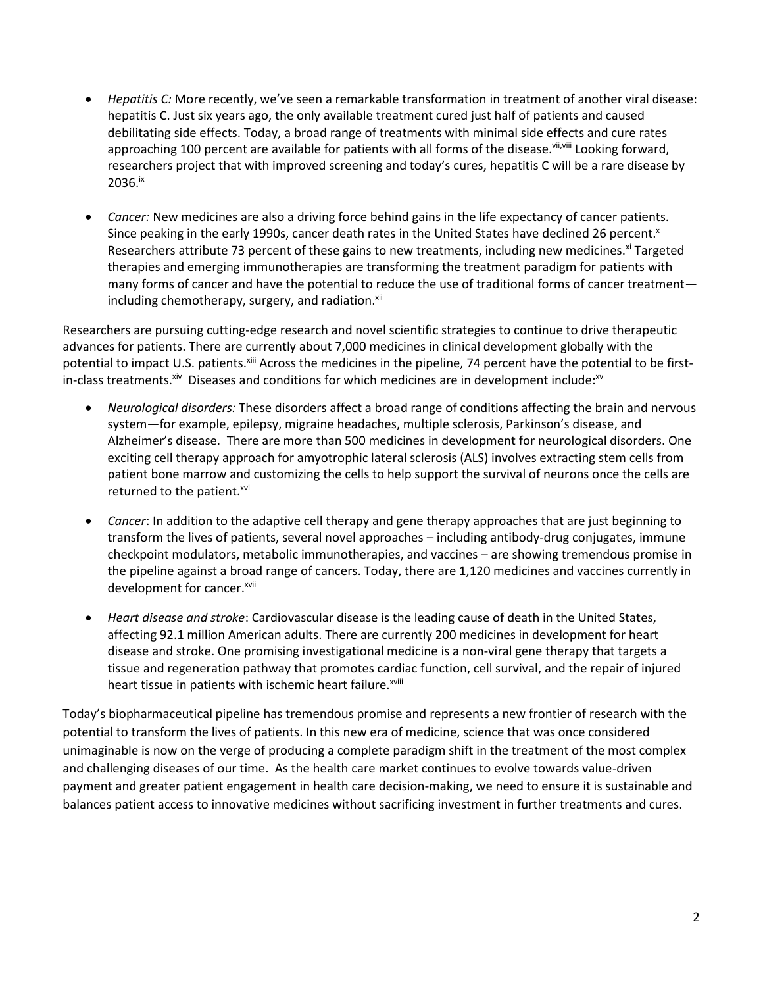- *Hepatitis C:* More recently, we've seen a remarkable transformation in treatment of another viral disease: hepatitis C. Just six years ago, the only available treatment cured just half of patients and caused debilitating side effects. Today, a broad range of treatments with minimal side effects and cure rates approaching 100 percent are available for patients with all forms of the disease. Vii, Viii Looking forward, researchers project that with improved screening and today's cures, hepatitis C will be a rare disease by 2036.ix
- *Cancer:* New medicines are also a driving force behind gains in the life expectancy of cancer patients. Since peaking in the early 1990s, cancer death rates in the United States have declined 26 percent.<sup>x</sup> Researchers attribute 73 percent of these gains to new treatments, including new medicines.<sup>xi</sup> Targeted therapies and emerging immunotherapies are transforming the treatment paradigm for patients with many forms of cancer and have the potential to reduce the use of traditional forms of cancer treatment including chemotherapy, surgery, and radiation.<sup>xii</sup>

Researchers are pursuing cutting-edge research and novel scientific strategies to continue to drive therapeutic advances for patients. There are currently about 7,000 medicines in clinical development globally with the potential to impact U.S. patients.<sup>xiii</sup> Across the medicines in the pipeline, 74 percent have the potential to be firstin-class treatments.  $x^{iv}$  Diseases and conditions for which medicines are in development include: $x^{iv}$ 

- *Neurological disorders:* These disorders affect a broad range of conditions affecting the brain and nervous system—for example, epilepsy, migraine headaches, multiple sclerosis, Parkinson's disease, and Alzheimer's disease. There are more than 500 medicines in development for neurological disorders. One exciting cell therapy approach for amyotrophic lateral sclerosis (ALS) involves extracting stem cells from patient bone marrow and customizing the cells to help support the survival of neurons once the cells are returned to the patient.<sup>xvi</sup>
- *Cancer*: In addition to the adaptive cell therapy and gene therapy approaches that are just beginning to transform the lives of patients, several novel approaches – including antibody-drug conjugates, immune checkpoint modulators, metabolic immunotherapies, and vaccines – are showing tremendous promise in the pipeline against a broad range of cancers. Today, there are 1,120 medicines and vaccines currently in development for cancer.<sup>xvii</sup>
- *Heart disease and stroke*: Cardiovascular disease is the leading cause of death in the United States, affecting 92.1 million American adults. There are currently 200 medicines in development for heart disease and stroke. One promising investigational medicine is a non-viral gene therapy that targets a tissue and regeneration pathway that promotes cardiac function, cell survival, and the repair of injured heart tissue in patients with ischemic heart failure.xviii

Today's biopharmaceutical pipeline has tremendous promise and represents a new frontier of research with the potential to transform the lives of patients. In this new era of medicine, science that was once considered unimaginable is now on the verge of producing a complete paradigm shift in the treatment of the most complex and challenging diseases of our time. As the health care market continues to evolve towards value-driven payment and greater patient engagement in health care decision-making, we need to ensure it is sustainable and balances patient access to innovative medicines without sacrificing investment in further treatments and cures.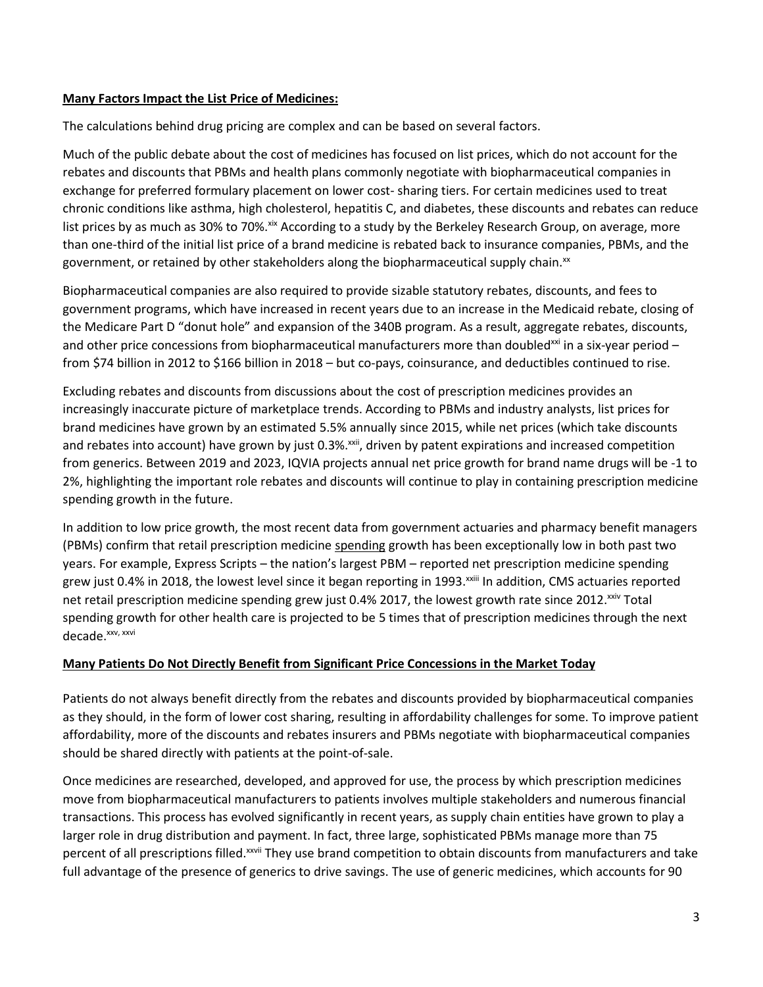#### **Many Factors Impact the List Price of Medicines:**

The calculations behind drug pricing are complex and can be based on several factors.

Much of the public debate about the cost of medicines has focused on list prices, which do not account for the rebates and discounts that PBMs and health plans commonly negotiate with biopharmaceutical companies in exchange for preferred formulary placement on lower cost- sharing tiers. For certain medicines used to treat chronic conditions like asthma, high cholesterol, hepatitis C, and diabetes, these discounts and rebates can reduce list prices by as much as 30% to 70%.<sup>xix</sup> According to a study by the Berkeley Research Group, on average, more than one-third of the initial list price of a brand medicine is rebated back to insurance companies, PBMs, and the government, or retained by other stakeholders along the biopharmaceutical supply chain. $^{x}$ 

Biopharmaceutical companies are also required to provide sizable statutory rebates, discounts, and fees to government programs, which have increased in recent years due to an increase in the Medicaid rebate, closing of the Medicare Part D "donut hole" and expansion of the 340B program. As a result, aggregate rebates, discounts, and other price concessions from biopharmaceutical manufacturers more than doubled<sup>xxi</sup> in a six-year period – from \$74 billion in 2012 to \$166 billion in 2018 – but co-pays, coinsurance, and deductibles continued to rise.

Excluding rebates and discounts from discussions about the cost of prescription medicines provides an increasingly inaccurate picture of marketplace trends. According to PBMs and industry analysts, list prices for brand medicines have grown by an estimated 5.5% annually since 2015, while net prices (which take discounts and rebates into account) have grown by just 0.3%.xxii, driven by patent expirations and increased competition from generics. Between 2019 and 2023, IQVIA projects annual net price growth for brand name drugs will be -1 to 2%, highlighting the important role rebates and discounts will continue to play in containing prescription medicine spending growth in the future.

In addition to low price growth, the most recent data from government actuaries and pharmacy benefit managers (PBMs) confirm that retail prescription medicine spending growth has been exceptionally low in both past two years. For example, Express Scripts – the nation's largest PBM – reported net prescription medicine spending grew just 0.4% in 2018, the lowest level since it began reporting in 1993.<sup>xxiii</sup> In addition, CMS actuaries reported net retail prescription medicine spending grew just 0.4% 2017, the lowest growth rate since 2012.<sup>xxiv</sup> Total spending growth for other health care is projected to be 5 times that of prescription medicines through the next decade. xxv, xxvi

### **Many Patients Do Not Directly Benefit from Significant Price Concessions in the Market Today**

Patients do not always benefit directly from the rebates and discounts provided by biopharmaceutical companies as they should, in the form of lower cost sharing, resulting in affordability challenges for some. To improve patient affordability, more of the discounts and rebates insurers and PBMs negotiate with biopharmaceutical companies should be shared directly with patients at the point-of-sale.

Once medicines are researched, developed, and approved for use, the process by which prescription medicines move from biopharmaceutical manufacturers to patients involves multiple stakeholders and numerous financial transactions. This process has evolved significantly in recent years, as supply chain entities have grown to play a larger role in drug distribution and payment. In fact, three large, sophisticated PBMs manage more than 75 percent of all prescriptions filled.<sup>xxvii</sup> They use brand competition to obtain discounts from manufacturers and take full advantage of the presence of generics to drive savings. The use of generic medicines, which accounts for 90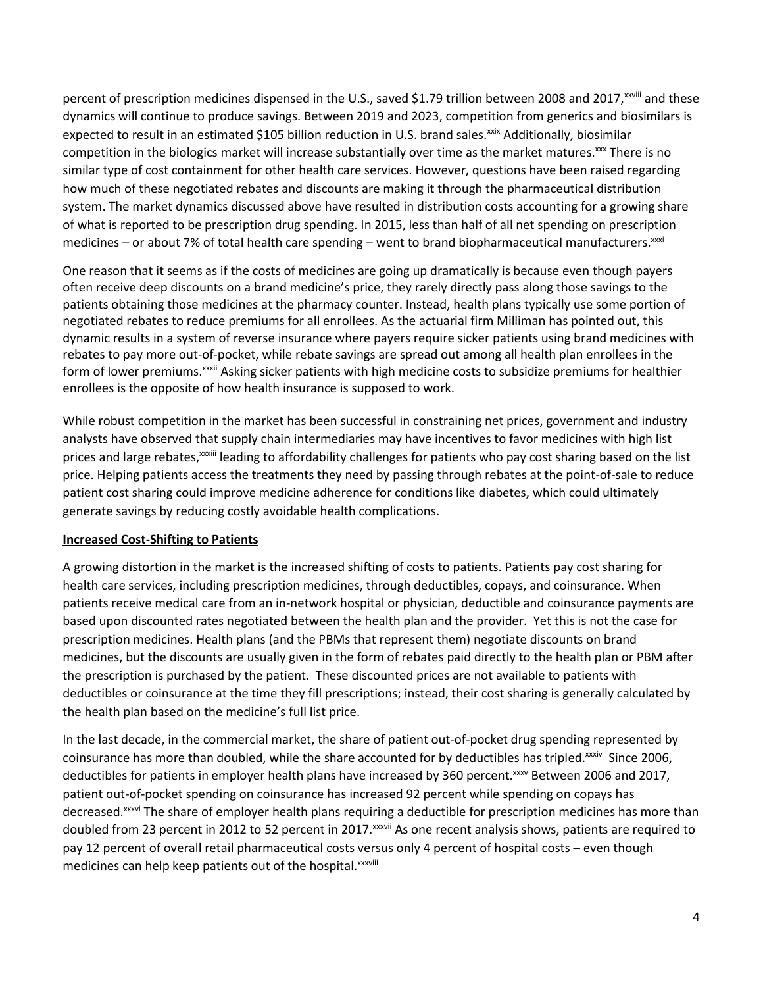percent of prescription medicines dispensed in the U.S., saved \$1.79 trillion between 2008 and 2017,<sup>xxviii</sup> and these dynamics will continue to produce savings. Between 2019 and 2023, competition from generics and biosimilars is expected to result in an estimated \$105 billion reduction in U.S. brand sales.<sup>xxix</sup> Additionally, biosimilar competition in the biologics market will increase substantially over time as the market matures.<sup>xxx</sup> There is no similar type of cost containment for other health care services. However, questions have been raised regarding how much of these negotiated rebates and discounts are making it through the pharmaceutical distribution system. The market dynamics discussed above have resulted in distribution costs accounting for a growing share of what is reported to be prescription drug spending. In 2015, less than half of all net spending on prescription medicines – or about 7% of total health care spending – went to brand biopharmaceutical manufacturers. $xxxi$ 

One reason that it seems as if the costs of medicines are going up dramatically is because even though payers often receive deep discounts on a brand medicine's price, they rarely directly pass along those savings to the patients obtaining those medicines at the pharmacy counter. Instead, health plans typically use some portion of negotiated rebates to reduce premiums for all enrollees. As the actuarial firm Milliman has pointed out, this dynamic results in a system of reverse insurance where payers require sicker patients using brand medicines with rebates to pay more out-of-pocket, while rebate savings are spread out among all health plan enrollees in the form of lower premiums.<sup>xxxii</sup> Asking sicker patients with high medicine costs to subsidize premiums for healthier enrollees is the opposite of how health insurance is supposed to work.

While robust competition in the market has been successful in constraining net prices, government and industry analysts have observed that supply chain intermediaries may have incentives to favor medicines with high list prices and large rebates, xxxiii leading to affordability challenges for patients who pay cost sharing based on the list price. Helping patients access the treatments they need by passing through rebates at the point-of-sale to reduce patient cost sharing could improve medicine adherence for conditions like diabetes, which could ultimately generate savings by reducing costly avoidable health complications.

### **Increased Cost-Shifting to Patients**

A growing distortion in the market is the increased shifting of costs to patients. Patients pay cost sharing for health care services, including prescription medicines, through deductibles, copays, and coinsurance. When patients receive medical care from an in-network hospital or physician, deductible and coinsurance payments are based upon discounted rates negotiated between the health plan and the provider. Yet this is not the case for prescription medicines. Health plans (and the PBMs that represent them) negotiate discounts on brand medicines, but the discounts are usually given in the form of rebates paid directly to the health plan or PBM after the prescription is purchased by the patient. These discounted prices are not available to patients with deductibles or coinsurance at the time they fill prescriptions; instead, their cost sharing is generally calculated by the health plan based on the medicine's full list price.

In the last decade, in the commercial market, the share of patient out-of-pocket drug spending represented by coinsurance has more than doubled, while the share accounted for by deductibles has tripled.<sup>xxxiv</sup> Since 2006, deductibles for patients in employer health plans have increased by 360 percent. XXXV Between 2006 and 2017, patient out-of-pocket spending on coinsurance has increased 92 percent while spending on copays has decreased.<sup>xxxvi</sup> The share of employer health plans requiring a deductible for prescription medicines has more than doubled from 23 percent in 2012 to 52 percent in 2017. XXXVII As one recent analysis shows, patients are required to pay 12 percent of overall retail pharmaceutical costs versus only 4 percent of hospital costs – even though medicines can help keep patients out of the hospital.<sup>xxxviii</sup>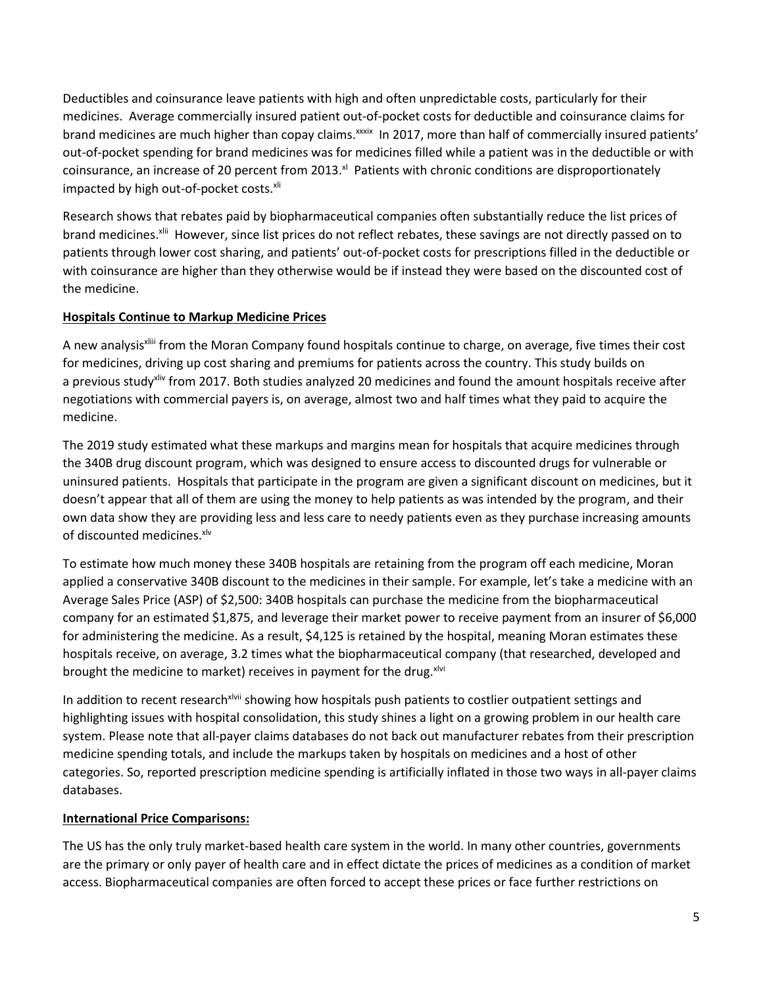Deductibles and coinsurance leave patients with high and often unpredictable costs, particularly for their medicines. Average commercially insured patient out-of-pocket costs for deductible and coinsurance claims for brand medicines are much higher than copay claims. xxxix In 2017, more than half of commercially insured patients' out-of-pocket spending for brand medicines was for medicines filled while a patient was in the deductible or with coinsurance, an increase of 20 percent from 2013. $^{\text{at}}$  Patients with chronic conditions are disproportionately impacted by high out-of-pocket costs.<sup>xli</sup>

Research shows that rebates paid by biopharmaceutical companies often substantially reduce the list prices of brand medicines.<sup>xlii</sup> However, since list prices do not reflect rebates, these savings are not directly passed on to patients through lower cost sharing, and patients' out-of-pocket costs for prescriptions filled in the deductible or with coinsurance are higher than they otherwise would be if instead they were based on the discounted cost of the medicine.

## **Hospitals Continue to Markup Medicine Prices**

A new analysis<sup>xliii</sup> from the Moran Company found hospitals continue to charge, on average, five times their cost for medicines, driving up cost sharing and premiums for patients across the country. This study builds on a previous study<sup>xliv</sup> from 2017. Both studies analyzed 20 medicines and found the amount hospitals receive after negotiations with commercial payers is, on average, almost two and half times what they paid to acquire the medicine.

The 2019 study estimated what these markups and margins mean for hospitals that acquire medicines through the 340B drug discount program, which was designed to ensure access to discounted drugs for vulnerable or uninsured patients. Hospitals that participate in the program are given a significant discount on medicines, but it doesn't appear that all of them are using the money to help patients as was intended by the program, and their own data show they are providing less and less care to needy patients even as they purchase increasing amounts of discounted medicines.xlv

To estimate how much money these 340B hospitals are retaining from the program off each medicine, Moran applied a conservative 340B discount to the medicines in their sample. For example, let's take a medicine with an Average Sales Price (ASP) of \$2,500: 340B hospitals can purchase the medicine from the biopharmaceutical company for an estimated \$1,875, and leverage their market power to receive payment from an insurer of \$6,000 for administering the medicine. As a result, \$4,125 is retained by the hospital, meaning Moran estimates these hospitals receive, on average, 3.2 times what the biopharmaceutical company (that researched, developed and brought the medicine to market) receives in payment for the drug. xlvi

In addition to recent research<sup>xlvii</sup> showing how hospitals push patients to costlier outpatient settings and highlighting issues with hospital consolidation, this study shines a light on a growing problem in our health care system. Please note that all-payer claims databases do not back out manufacturer rebates from their prescription medicine spending totals, and include the markups taken by hospitals on medicines and a host of other categories. So, reported prescription medicine spending is artificially inflated in those two ways in all-payer claims databases.

### **International Price Comparisons:**

The US has the only truly market-based health care system in the world. In many other countries, governments are the primary or only payer of health care and in effect dictate the prices of medicines as a condition of market access. Biopharmaceutical companies are often forced to accept these prices or face further restrictions on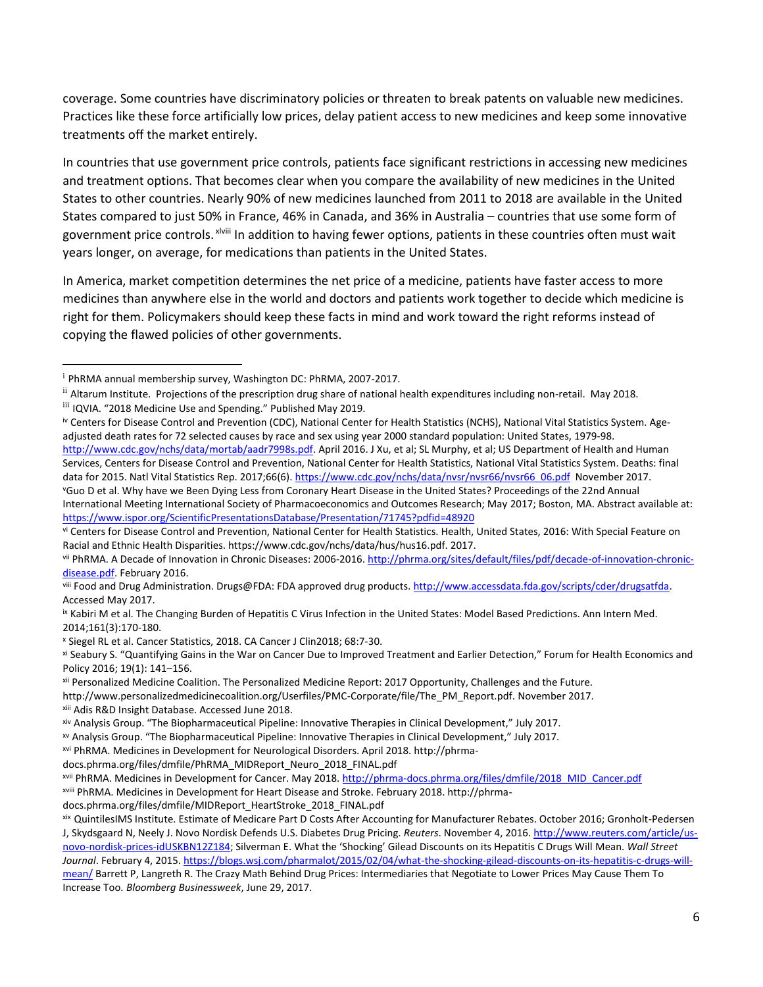coverage. Some countries have discriminatory policies or threaten to break patents on valuable new medicines. Practices like these force artificially low prices, delay patient access to new medicines and keep some innovative treatments off the market entirely.

In countries that use government price controls, patients face significant restrictions in accessing new medicines and treatment options. That becomes clear when you compare the availability of new medicines in the United States to other countries. Nearly 90% of new medicines launched from 2011 to 2018 are available in the United States compared to just 50% in France, 46% in Canada, and 36% in Australia – countries that use some form of government price controls. <sup>xiviii</sup> In addition to having fewer options, patients in these countries often must wait years longer, on average, for medications than patients in the United States.

In America, market competition determines the net price of a medicine, patients have faster access to more medicines than anywhere else in the world and doctors and patients work together to decide which medicine is right for them. Policymakers should keep these facts in mind and work toward the right reforms instead of copying the flawed policies of other governments.

 $\overline{a}$ 

[http://www.cdc.gov/nchs/data/mortab/aadr7998s.pdf.](http://www.cdc.gov/nchs/data/mortab/aadr7998s.pdf) April 2016. J Xu, et al; SL Murphy, et al; US Department of Health and Human Services, Centers for Disease Control and Prevention, National Center for Health Statistics, National Vital Statistics System. Deaths: final data for 2015. Natl Vital Statistics Rep. 2017;66(6). [https://www.cdc.gov/nchs/data/nvsr/nvsr66/nvsr66\\_06.pdf](https://www.cdc.gov/nchs/data/nvsr/nvsr66/nvsr66_06.pdf) November 2017. <sup>v</sup>Guo D et al. Why have we Been Dying Less from Coronary Heart Disease in the United States? Proceedings of the 22nd Annual

xiii Adis R&D Insight Database. Accessed June 2018.

xvi PhRMA. Medicines in Development for Neurological Disorders. April 2018. http://phrma-

docs.phrma.org/files/dmfile/PhRMA\_MIDReport\_Neuro\_2018\_FINAL.pdf

xvii PhRMA. Medicines in Development for Cancer. May 2018. [http://phrma-docs.phrma.org/files/dmfile/2018\\_MID\\_Cancer.pdf](http://phrma-docs.phrma.org/files/dmfile/2018_MID_Cancer.pdf)

<sup>i</sup> PhRMA annual membership survey, Washington DC: PhRMA, 2007-2017.

ii Altarum Institute. Projections of the prescription drug share of national health expenditures including non-retail. May 2018.

iii IQVIA. "2018 Medicine Use and Spending." Published May 2019.

iv Centers for Disease Control and Prevention (CDC), National Center for Health Statistics (NCHS), National Vital Statistics System. Ageadjusted death rates for 72 selected causes by race and sex using year 2000 standard population: United States, 1979-98.

International Meeting International Society of Pharmacoeconomics and Outcomes Research; May 2017; Boston, MA. Abstract available at: <https://www.ispor.org/ScientificPresentationsDatabase/Presentation/71745?pdfid=48920>

vi Centers for Disease Control and Prevention, National Center for Health Statistics. Health, United States, 2016: With Special Feature on Racial and Ethnic Health Disparities. https://www.cdc.gov/nchs/data/hus/hus16.pdf. 2017.

vii PhRMA. A Decade of Innovation in Chronic Diseases: 2006-2016[. http://phrma.org/sites/default/files/pdf/decade-of-innovation-chronic](http://phrma.org/sites/default/files/pdf/decade-of-innovation-chronic-disease.pdf)[disease.pdf.](http://phrma.org/sites/default/files/pdf/decade-of-innovation-chronic-disease.pdf) February 2016.

viii Food and Drug Administration. Drugs@FDA: FDA approved drug products. [http://www.accessdata.fda.gov/scripts/cder/drugsatfda.](http://www.accessdata.fda.gov/scripts/cder/drugsatfda)  Accessed May 2017.

IX Kabiri M et al. The Changing Burden of Hepatitis C Virus Infection in the United States: Model Based Predictions. Ann Intern Med. 2014;161(3):170-180.

<sup>x</sup> Siegel RL et al. Cancer Statistics, 2018. CA Cancer J Clin2018; 68:7-30.

xi Seabury S. "Quantifying Gains in the War on Cancer Due to Improved Treatment and Earlier Detection," Forum for Health Economics and Policy 2016; 19(1): 141–156.

xii Personalized Medicine Coalition. The Personalized Medicine Report: 2017 Opportunity, Challenges and the Future.

http://www.personalizedmedicinecoalition.org/Userfiles/PMC-Corporate/file/The\_PM\_Report.pdf. November 2017.

xiv Analysis Group. "The Biopharmaceutical Pipeline: Innovative Therapies in Clinical Development," July 2017.

xv Analysis Group. "The Biopharmaceutical Pipeline: Innovative Therapies in Clinical Development," July 2017.

xviii PhRMA. Medicines in Development for Heart Disease and Stroke. February 2018. http://phrma-

docs.phrma.org/files/dmfile/MIDReport\_HeartStroke\_2018\_FINAL.pdf

xix QuintilesIMS Institute. Estimate of Medicare Part D Costs After Accounting for Manufacturer Rebates. October 2016; Gronholt-Pedersen J, Skydsgaard N, Neely J. Novo Nordisk Defends U.S. Diabetes Drug Pricing. *Reuters*. November 4, 2016[. http://www.reuters.com/article/us](http://www.reuters.com/article/us-novo-nordisk-prices-idUSKBN12Z184%3B)[novo-nordisk-prices-idUSKBN12Z184;](http://www.reuters.com/article/us-novo-nordisk-prices-idUSKBN12Z184%3B) Silverman E. What the 'Shocking' Gilead Discounts on its Hepatitis C Drugs Will Mean. *Wall Street Journal*. February 4, 2015. https://blogs.wsj.com/pharmalot/2015/02/04/what-the-shocking-gilead-discounts-on-its-hepatitis-c-drugs-willmean/ Barrett P, Langreth R. The Crazy Math Behind Drug Prices: Intermediaries that Negotiate to Lower Prices May Cause Them To Increase Too*. Bloomberg Businessweek*, June 29, 2017.